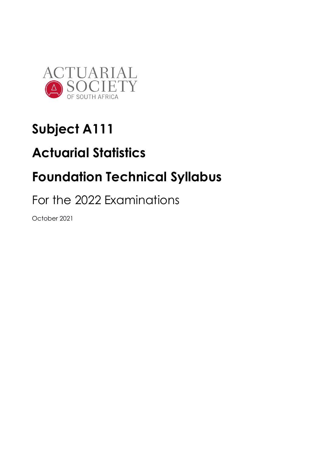

# **Subject A111**

# **Actuarial Statistics**

# **Foundation Technical Syllabus**

# For the 2022 Examinations

October 2021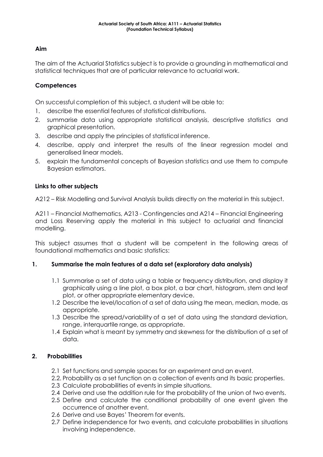#### **Aim**

The aim of the Actuarial Statistics subject is to provide a grounding in mathematical and statistical techniques that are of particular relevance to actuarial work.

# **Competences**

On successful completion of this subject, a student will be able to:

- 1. describe the essential features of statistical distributions.
- 2. summarise data using appropriate statistical analysis, descriptive statistics and graphical presentation.
- 3. describe and apply the principles of statistical inference.
- 4. describe, apply and interpret the results of the linear regression model and generalised linear models.
- 5. explain the fundamental concepts of Bayesian statistics and use them to compute Bayesian estimators.

# **Links to other subjects**

A212 – Risk Modelling and Survival Analysis builds directly on the material in this subject.

A211 – Financial Mathematics, A213 - Contingencies and A214 – Financial Engineering and Loss Reserving apply the material in this subject to actuarial and financial modelling.

This subject assumes that a student will be competent in the following areas of foundational mathematics and basic statistics:

#### **1. Summarise the main features of a data set (exploratory data analysis)**

- 1.1 Summarise a set of data using a table or frequency distribution, and display it graphically using a line plot, a box plot, a bar chart, histogram, stem and leaf plot, or other appropriate elementary device.
- 1.2 Describe the level/location of a set of data using the mean, median, mode, as appropriate.
- 1.3 Describe the spread/variability of a set of data using the standard deviation, range, interquartile range, as appropriate.
- 1.4 Explain what is meant by symmetry and skewness for the distribution of a set of data.

# **2. Probabilities**

- 2.1 Set functions and sample spaces for an experiment and an event.
- 2.2. Probability as a set function on a collection of events and its basic properties.
- 2.3 Calculate probabilities of events in simple situations.
- 2.4 Derive and use the addition rule for the probability of the union of two events.
- 2.5 Define and calculate the conditional probability of one event given the occurrence of another event.
- 2.6 Derive and use Bayes' Theorem for events.
- 2.7 Define independence for two events, and calculate probabilities in situations involving independence.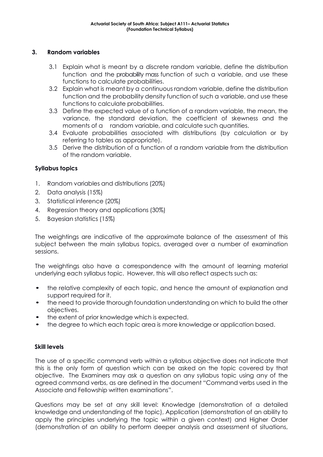#### **3. Random variables**

- 3.1 Explain what is meant by a discrete random variable, define the distribution function and the probability mass function of such a variable, and use these functions to calculate probabilities.
- 3.2 Explain what is meant by a continuous random variable, define the distribution function and the probability density function of such a variable, and use these functions to calculate probabilities.
- 3.3 Define the expected value of a function of a random variable, the mean, the variance, the standard deviation, the coefficient of skewness and the moments of a random variable, and calculate such quantities.
- 3.4 Evaluate probabilities associated with distributions (by calculation or by referring to tables as appropriate).
- 3.5 Derive the distribution of a function of a random variable from the distribution of the random variable.

# **Syllabus topics**

- 1. Random variables and distributions (20%)
- 2. Data analysis (15%)
- 3. Statistical inference (20%)
- 4. Regression theory and applications (30%)
- 5. Bayesian statistics (15%)

The weightings are indicative of the approximate balance of the assessment of this subject between the main syllabus topics, averaged over a number of examination sessions.

The weightings also have a correspondence with the amount of learning material underlying each syllabus topic. However, this will also reflect aspects such as:

- the relative complexity of each topic, and hence the amount of explanation and support required for it.
- the need to provide thorough foundation understanding on which to build the other objectives.
- the extent of prior knowledge which is expected.
- the degree to which each topic area is more knowledge or application based.

#### **Skill levels**

The use of a specific command verb within a syllabus objective does not indicate that this is the only form of question which can be asked on the topic covered by that objective. The Examiners may ask a question on any syllabus topic using any of the agreed command verbs, as are defined in the document "Command verbs used in the Associate and Fellowship written examinations".

Questions may be set at any skill level: Knowledge (demonstration of a detailed knowledge and understanding of the topic), Application (demonstration of an ability to apply the principles underlying the topic within a given context) and Higher Order (demonstration of an ability to perform deeper analysis and assessment of situations,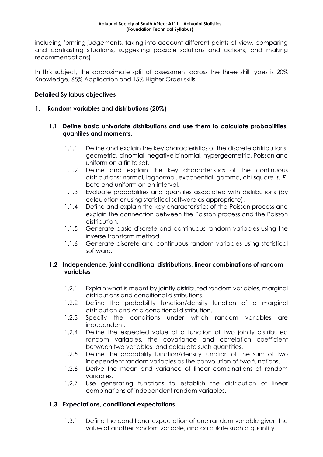including forming judgements, taking into account different points of view, comparing and contrasting situations, suggesting possible solutions and actions, and making recommendations).

In this subject, the approximate split of assessment across the three skill types is 20% Knowledge, 65% Application and 15% Higher Order skills.

# **Detailed Syllabus objectives**

#### **1. Random variables and distributions (20%)**

#### **1.1 Define basic univariate distributions and use them to calculate probabilities, quantiles and moments.**

- 1.1.1 Define and explain the key characteristics of the discrete distributions: geometric, binomial, negative binomial, hypergeometric, Poisson and uniform on a finite set.
- 1.1.2 Define and explain the key characteristics of the continuous distributions: normal, lognormal, exponential, gamma, chi-square,  $t$ ,  $F$ , beta and uniform on an interval.
- 1.1.3 Evaluate probabilities and quantiles associated with distributions (by calculation or using statistical software as appropriate).
- 1.1.4 Define and explain the key characteristics of the Poisson process and explain the connection between the Poisson process and the Poisson distribution.
- 1.1.5 Generate basic discrete and continuous random variables using the inverse transform method.
- 1.1.6 Generate discrete and continuous random variables using statistical software.

#### **1.2 Independence, joint conditional distributions, linear combinations of random variables**

- 1.2.1 Explain what is meant by jointly distributed random variables, marginal distributions and conditional distributions.
- 1.2.2 Define the probability function/density function of a marginal distribution and of a conditional distribution.
- 1.2.3 Specify the conditions under which random variables are independent.
- 1.2.4 Define the expected value of a function of two jointly distributed random variables, the covariance and correlation coefficient between two variables, and calculate such quantities.
- 1.2.5 Define the probability function/density function of the sum of two independent random variables as the convolution of two functions.
- 1.2.6 Derive the mean and variance of linear combinations of random variables.
- 1.2.7 Use generating functions to establish the distribution of linear combinations of independent random variables.

#### **1.3 Expectations, conditional expectations**

1.3.1 Define the conditional expectation of one random variable given the value of another random variable, and calculate such a quantity.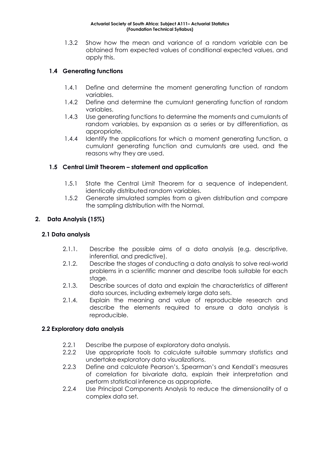1.3.2 Show how the mean and variance of a random variable can be obtained from expected values of conditional expected values, and apply this.

# **1.4 Generating functions**

- 1.4.1 Define and determine the moment generating function of random variables.
- 1.4.2 Define and determine the cumulant generating function of random variables.
- 1.4.3 Use generating functions to determine the moments and cumulants of random variables, by expansion as a series or by differentiation, as appropriate.
- 1.4.4 Identify the applications for which a moment generating function, a cumulant generating function and cumulants are used, and the reasons why they are used.

#### **1.5 Central Limit Theorem – statement and application**

- 1.5.1 State the Central Limit Theorem for a sequence of independent, identically distributed random variables.
- 1.5.2 Generate simulated samples from a given distribution and compare the sampling distribution with the Normal.

# **2. Data Analysis (15%)**

#### **2.1 Data analysis**

- 2.1.1. Describe the possible aims of a data analysis (e.g. descriptive, inferential, and predictive).
- 2.1.2. Describe the stages of conducting a data analysis to solve real-world problems in a scientific manner and describe tools suitable for each stage.
- 2.1.3. Describe sources of data and explain the characteristics of different data sources, including extremely large data sets.
- 2.1.4. Explain the meaning and value of reproducible research and describe the elements required to ensure a data analysis is reproducible.

#### **2.2 Exploratory data analysis**

- 2.2.1 Describe the purpose of exploratory data analysis.
- 2.2.2 Use appropriate tools to calculate suitable summary statistics and undertake exploratory data visualizations.
- 2.2.3 Define and calculate Pearson's, Spearman's and Kendall's measures of correlation for bivariate data, explain their interpretation and perform statistical inference as appropriate.
- 2.2.4 Use Principal Components Analysis to reduce the dimensionality of a complex data set.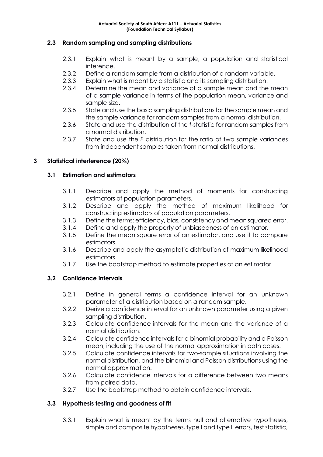#### **2.3 Random sampling and sampling distributions**

- 2.3.1 Explain what is meant by a sample, a population and statistical inference.
- 2.3.2 Define a random sample from a distribution of a random variable.
- 2.3.3 Explain what is meant by a statistic and its sampling distribution.
- 2.3.4 Determine the mean and variance of a sample mean and the mean of a sample variance in terms of the population mean, variance and sample size.
- 2.3.5 State and use the basic sampling distributions for the sample mean and the sample variance for random samples from a normal distribution.
- 2.3.6 State and use the distribution of the *t*-statistic for random samples from a normal distribution.
- 2.3.7 State and use the *F* distribution for the ratio of two sample variances from independent samples taken from normal distributions.

#### **3 Statistical interference (20%)**

#### **3.1 Estimation and estimators**

- 3.1.1 Describe and apply the method of moments for constructing estimators of population parameters.
- 3.1.2 Describe and apply the method of maximum likelihood for constructing estimators of population parameters.
- 3.1.3 Define the terms: efficiency, bias, consistency and mean squared error.
- 3.1.4 Define and apply the property of unbiasedness of an estimator.
- 3.1.5 Define the mean square error of an estimator, and use it to compare estimators.
- 3.1.6 Describe and apply the asymptotic distribution of maximum likelihood estimators.
- 3.1.7 Use the bootstrap method to estimate properties of an estimator.

#### **3.2 Confidence intervals**

- 3.2.1 Define in general terms a confidence interval for an unknown parameter of a distribution based on a random sample.
- 3.2.2 Derive a confidence interval for an unknown parameter using a given sampling distribution.
- 3.2.3 Calculate confidence intervals for the mean and the variance of a normal distribution.
- 3.2.4 Calculate confidence intervals for a binomial probability and a Poisson mean, including the use of the normal approximation in both cases.
- 3.2.5 Calculate confidence intervals for two-sample situations involving the normal distribution, and the binomial and Poisson distributions using the normal approximation.
- 3.2.6 Calculate confidence intervals for a difference between two means from paired data.
- 3.2.7 Use the bootstrap method to obtain confidence intervals.

#### **3.3 Hypothesis testing and goodness of fit**

3.3.1 Explain what is meant by the terms null and alternative hypotheses, simple and composite hypotheses, type I and type II errors, test statistic,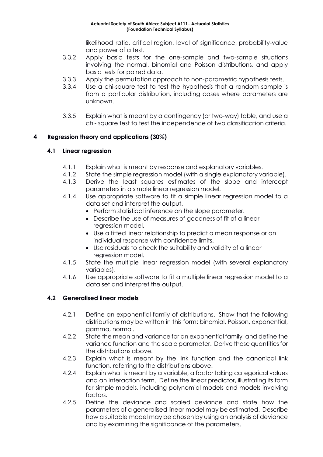likelihood ratio, critical region, level of significance, probability-value and power of a test.

- 3.3.2 Apply basic tests for the one-sample and two-sample situations involving the normal, binomial and Poisson distributions, and apply basic tests for paired data.
- 3.3.3 Apply the permutation approach to non-parametric hypothesis tests.
- 3.3.4 Use a chi-square test to test the hypothesis that a random sample is from a particular distribution, including cases where parameters are unknown.
- 3.3.5 Explain what is meant by a contingency (or two-way) table, and use a chi- square test to test the independence of two classification criteria.

#### **4 Regression theory and applications (30%)**

#### **4.1 Linear regression**

- 4.1.1 Explain what is meant by response and explanatory variables.
- 4.1.2 State the simple regression model (with a single explanatory variable).
- 4.1.3 Derive the least squares estimates of the slope and intercept parameters in a simple linear regression model.
- 4.1.4 Use appropriate software to fit a simple linear regression model to a data set and interpret the output.
	- Perform statistical inference on the slope parameter.
	- Describe the use of measures of goodness of fit of a linear regression model.
	- Use a fitted linear relationship to predict a mean response or an individual response with confidence limits.
	- Use residuals to check the suitability and validity of a linear regression model.
- 4.1.5 State the multiple linear regression model (with several explanatory variables).
- 4.1.6 Use appropriate software to fit a multiple linear regression model to a data set and interpret the output.

#### **4.2 Generalised linear models**

- 4.2.1 Define an exponential family of distributions. Show that the following distributions may be written in this form: binomial, Poisson, exponential, gamma, normal.
- 4.2.2 State the mean and variance for an exponential family, and define the variance function and the scale parameter. Derive these quantities for the distributions above.
- 4.2.3 Explain what is meant by the link function and the canonical link function, referring to the distributions above.
- 4.2.4 Explain what is meant by a variable, a factor taking categorical values and an interaction term. Define the linear predictor, illustrating its form for simple models, including polynomial models and models involving factors.
- 4.2.5 Define the deviance and scaled deviance and state how the parameters of a generalised linear model may be estimated. Describe how a suitable model may be chosen by using an analysis of deviance and by examining the significance of the parameters.